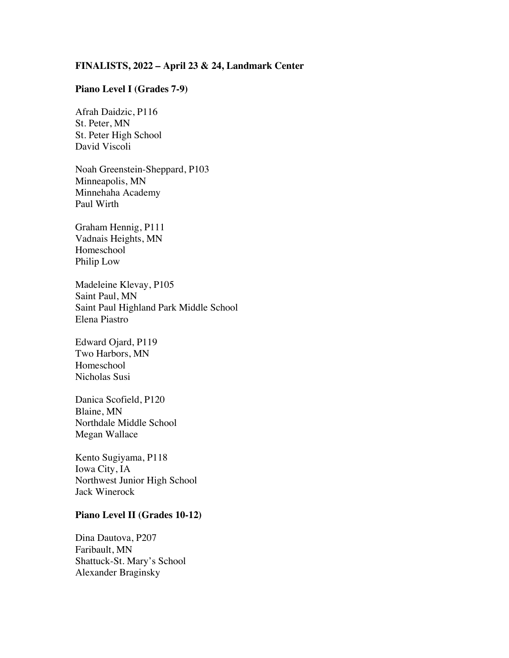## **FINALISTS, 2022 – April 23 & 24, Landmark Center**

## **Piano Level I (Grades 7-9)**

Afrah Daidzic, P116 St. Peter, MN St. Peter High School David Viscoli

Noah Greenstein-Sheppard, P103 Minneapolis, MN Minnehaha Academy Paul Wirth

Graham Hennig, P111 Vadnais Heights, MN Homeschool Philip Low

Madeleine Klevay, P105 Saint Paul, MN Saint Paul Highland Park Middle School Elena Piastro

Edward Ojard, P119 Two Harbors, MN Homeschool Nicholas Susi

Danica Scofield, P120 Blaine, MN Northdale Middle School Megan Wallace

Kento Sugiyama, P118 Iowa City, IA Northwest Junior High School Jack Winerock

#### **Piano Level II (Grades 10-12)**

Dina Dautova, P207 Faribault, MN Shattuck-St. Mary's School Alexander Braginsky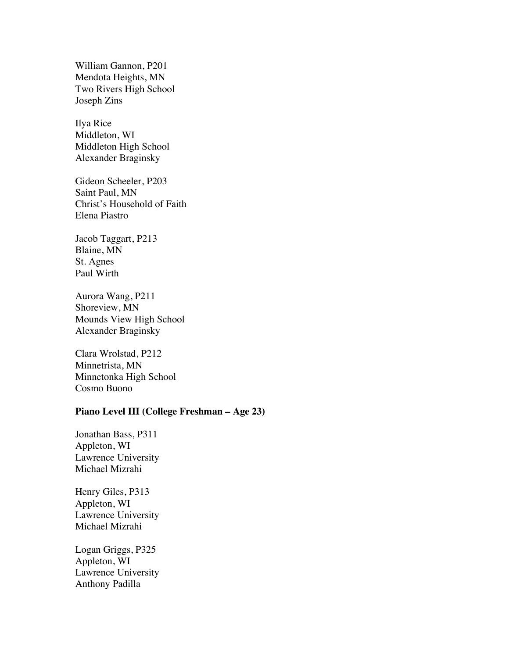William Gannon, P201 Mendota Heights, MN Two Rivers High School Joseph Zins

Ilya Rice Middleton, WI Middleton High School Alexander Braginsky

Gideon Scheeler, P203 Saint Paul, MN Christ's Household of Faith Elena Piastro

Jacob Taggart, P213 Blaine, MN St. Agnes Paul Wirth

Aurora Wang, P211 Shoreview, MN Mounds View High School Alexander Braginsky

Clara Wrolstad, P212 Minnetrista, MN Minnetonka High School Cosmo Buono

# **Piano Level III (College Freshman – Age 23)**

Jonathan Bass, P311 Appleton, WI Lawrence University Michael Mizrahi

Henry Giles, P313 Appleton, WI Lawrence University Michael Mizrahi

Logan Griggs, P325 Appleton, WI Lawrence University Anthony Padilla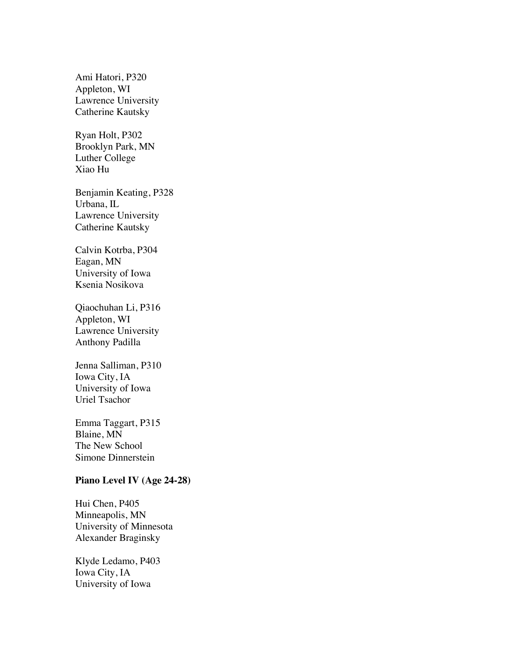Ami Hatori, P320 Appleton, WI Lawrence University Catherine Kautsky

Ryan Holt, P302 Brooklyn Park, MN Luther College Xiao Hu

Benjamin Keating, P328 Urbana, IL Lawrence University Catherine Kautsky

Calvin Kotrba, P304 Eagan, MN University of Iowa Ksenia Nosikova

Qiaochuhan Li, P316 Appleton, WI Lawrence University Anthony Padilla

Jenna Salliman, P310 Iowa City, IA University of Iowa Uriel Tsachor

Emma Taggart, P315 Blaine, MN The New School Simone Dinnerstein

#### **Piano Level IV (Age 24-28)**

Hui Chen, P405 Minneapolis, MN University of Minnesota Alexander Braginsky

Klyde Ledamo, P403 Iowa City, IA University of Iowa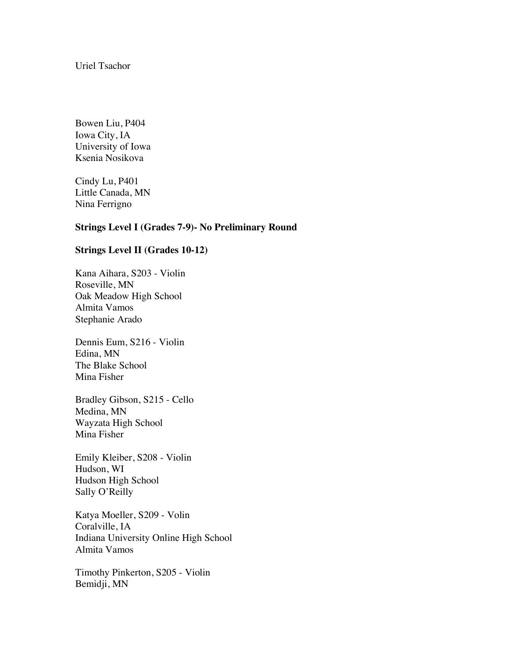Uriel Tsachor

Bowen Liu, P404 Iowa City, IA University of Iowa Ksenia Nosikova

Cindy Lu, P401 Little Canada, MN Nina Ferrigno

## **Strings Level I (Grades 7-9)- No Preliminary Round**

## **Strings Level II (Grades 10-12)**

Kana Aihara, S203 - Violin Roseville, MN Oak Meadow High School Almita Vamos Stephanie Arado

Dennis Eum, S216 - Violin Edina, MN The Blake School Mina Fisher

Bradley Gibson, S215 - Cello Medina, MN Wayzata High School Mina Fisher

Emily Kleiber, S208 - Violin Hudson, WI Hudson High School Sally O'Reilly

Katya Moeller, S209 - Volin Coralville, IA Indiana University Online High School Almita Vamos

Timothy Pinkerton, S205 - Violin Bemidji, MN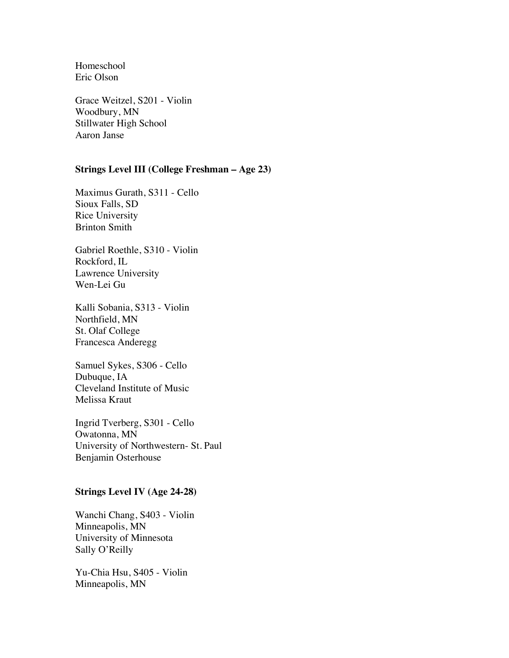Homeschool Eric Olson

Grace Weitzel, S201 - Violin Woodbury, MN Stillwater High School Aaron Janse

# **Strings Level III (College Freshman – Age 23)**

Maximus Gurath, S311 - Cello Sioux Falls, SD Rice University Brinton Smith

Gabriel Roethle, S310 - Violin Rockford, IL Lawrence University Wen-Lei Gu

Kalli Sobania, S313 - Violin Northfield, MN St. Olaf College Francesca Anderegg

Samuel Sykes, S306 - Cello Dubuque, IA Cleveland Institute of Music Melissa Kraut

Ingrid Tverberg, S301 - Cello Owatonna, MN University of Northwestern- St. Paul Benjamin Osterhouse

#### **Strings Level IV (Age 24-28)**

Wanchi Chang, S403 - Violin Minneapolis, MN University of Minnesota Sally O'Reilly

Yu-Chia Hsu, S405 - Violin Minneapolis, MN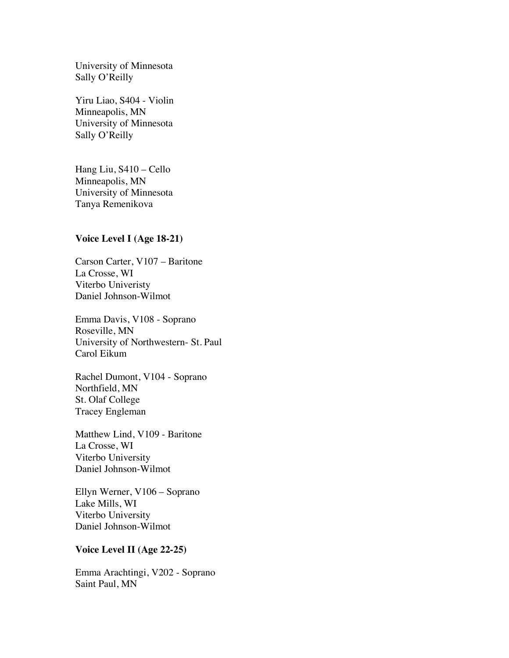University of Minnesota Sally O'Reilly

Yiru Liao, S404 - Violin Minneapolis, MN University of Minnesota Sally O'Reilly

Hang Liu, S410 – Cello Minneapolis, MN University of Minnesota Tanya Remenikova

# **Voice Level I (Age 18-21)**

Carson Carter, V107 – Baritone La Crosse, WI Viterbo Univeristy Daniel Johnson-Wilmot

Emma Davis, V108 - Soprano Roseville, MN University of Northwestern- St. Paul Carol Eikum

Rachel Dumont, V104 - Soprano Northfield, MN St. Olaf College Tracey Engleman

Matthew Lind, V109 - Baritone La Crosse, WI Viterbo University Daniel Johnson-Wilmot

Ellyn Werner, V106 – Soprano Lake Mills, WI Viterbo University Daniel Johnson-Wilmot

# **Voice Level II (Age 22-25)**

Emma Arachtingi, V202 - Soprano Saint Paul, MN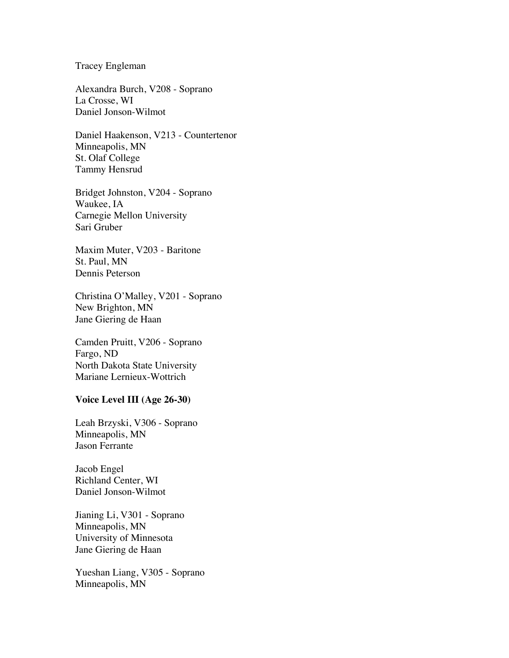Tracey Engleman

Alexandra Burch, V208 - Soprano La Crosse, WI Daniel Jonson-Wilmot

Daniel Haakenson, V213 - Countertenor Minneapolis, MN St. Olaf College Tammy Hensrud

Bridget Johnston, V204 - Soprano Waukee, IA Carnegie Mellon University Sari Gruber

Maxim Muter, V203 - Baritone St. Paul, MN Dennis Peterson

Christina O'Malley, V201 - Soprano New Brighton, MN Jane Giering de Haan

Camden Pruitt, V206 - Soprano Fargo, ND North Dakota State University Mariane Lernieux-Wottrich

## **Voice Level III (Age 26-30)**

Leah Brzyski, V306 - Soprano Minneapolis, MN Jason Ferrante

Jacob Engel Richland Center, WI Daniel Jonson-Wilmot

Jianing Li, V301 - Soprano Minneapolis, MN University of Minnesota Jane Giering de Haan

Yueshan Liang, V305 - Soprano Minneapolis, MN